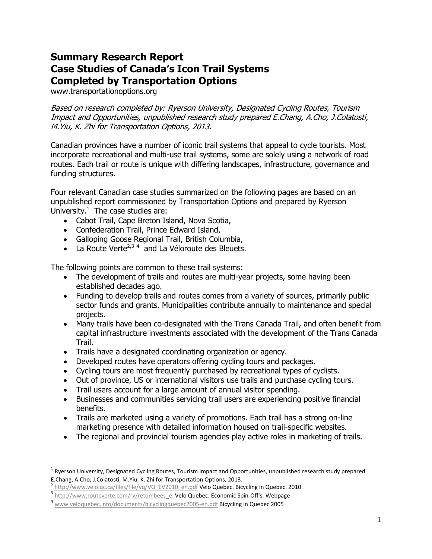# **Summary Research Report Case Studies of Canada's Icon Trail Systems Completed by Transportation Options**

[www.transportationoptions.org](http://www.transportationoptions.org/)

Based on research completed by: Ryerson University, Designated Cycling Routes, Tourism Impact and Opportunities, unpublished research study prepared E.Chang, A.Cho, J.Colatosti, M.Yiu, K. Zhi for Transportation Options, 2013.

Canadian provinces have a number of iconic trail systems that appeal to cycle tourists. Most incorporate recreational and multi-use trail systems, some are solely using a network of road routes. Each trail or route is unique with differing landscapes, infrastructure, governance and funding structures.

Four relevant Canadian case studies summarized on the following pages are based on an unpublished report commissioned by Transportation Options and prepared by Ryerson University. $1$  The case studies are:

- Cabot Trail, Cape Breton Island, Nova Scotia,
- Confederation Trail, Prince Edward Island,
- Galloping Goose Regional Trail, British Columbia,
- La Route Verte<sup>2,34</sup> and La Véloroute des Bleuets.

The following points are common to these trail systems:

- The development of trails and routes are multi-year projects, some having been established decades ago.
- Funding to develop trails and routes comes from a variety of sources, primarily public sector funds and grants. Municipalities contribute annually to maintenance and special projects.
- Many trails have been co-designated with the Trans Canada Trail, and often benefit from capital infrastructure investments associated with the development of the Trans Canada Trail.
- Trails have a designated coordinating organization or agency.
- Developed routes have operators offering cycling tours and packages.
- Cycling tours are most frequently purchased by recreational types of cyclists.
- Out of province, US or international visitors use trails and purchase cycling tours.
- Trail users account for a large amount of annual visitor spending.
- Businesses and communities servicing trail users are experiencing positive financial benefits.
- Trails are marketed using a variety of promotions. Each trail has a strong on-line marketing presence with detailed information housed on trail-specific websites.
- The regional and provincial tourism agencies play active roles in marketing of trails.

 $\overline{a}$ 

<sup>1</sup> Ryerson University, Designated Cycling Routes, Tourism Impact and Opportunities, unpublished research study prepared E.Chang, A.Cho, J.Colatosti, M.Yiu, K. Zhi for Transportation Options, 2013.

<sup>&</sup>lt;sup>2</sup> [http://www.velo.qc.ca/files/file/vq/VQ\\_EV2010\\_en.pdf](http://www.velo.qc.ca/files/file/vq/VQ_EV2010_en.pdf) Velo Quebec. Bicycling in Quebec. 2010.

<sup>3</sup> http://www.routeverte.com/rv/retombees\_e\_Velo Quebec. Economic Spin-Off's. Webpage

<sup>&</sup>lt;sup>4</sup> [www.veloquebec.info/documents/bicyclingquebec2005-en.pdf](http://www.veloquebec.info/documents/bicyclingquebec2005-en.pdf) Bicycling in Quebec 2005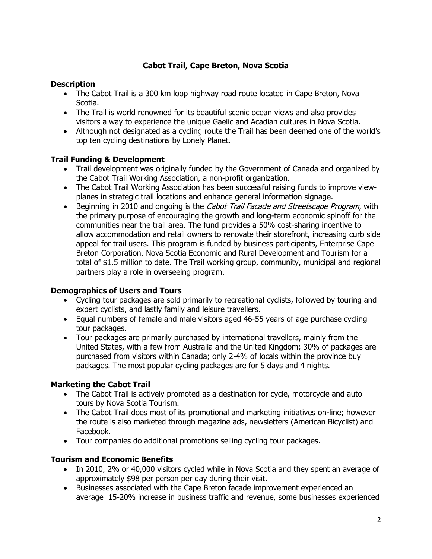# **Cabot Trail, Cape Breton, Nova Scotia**

#### **Description**

- The Cabot Trail is a 300 km loop highway road route located in Cape Breton, Nova Scotia.
- The Trail is world renowned for its beautiful scenic ocean views and also provides visitors a way to experience the unique Gaelic and Acadian cultures in Nova Scotia.
- Although not designated as a cycling route the Trail has been deemed one of the world's top ten cycling destinations by Lonely Planet.

## **Trail Funding & Development**

- Trail development was originally funded by the Government of Canada and organized by the Cabot Trail Working Association, a non-profit organization.
- The Cabot Trail Working Association has been successful raising funds to improve viewplanes in strategic trail locations and enhance general information signage.
- Beginning in 2010 and ongoing is the Cabot Trail Facade and Streetscape Program, with the primary purpose of encouraging the growth and long-term economic spinoff for the communities near the trail area. The fund provides a 50% cost-sharing incentive to allow accommodation and retail owners to renovate their storefront, increasing curb side appeal for trail users. This program is funded by business participants, Enterprise Cape Breton Corporation, Nova Scotia Economic and Rural Development and Tourism for a total of \$1.5 million to date. The Trail working group, community, municipal and regional partners play a role in overseeing program.

#### **Demographics of Users and Tours**

- Cycling tour packages are sold primarily to recreational cyclists, followed by touring and expert cyclists, and lastly family and leisure travellers.
- Equal numbers of female and male visitors aged 46-55 years of age purchase cycling tour packages.
- Tour packages are primarily purchased by international travellers, mainly from the United States, with a few from Australia and the United Kingdom; 30% of packages are purchased from visitors within Canada; only 2-4% of locals within the province buy packages. The most popular cycling packages are for 5 days and 4 nights.

## **Marketing the Cabot Trail**

- The Cabot Trail is actively promoted as a destination for cycle, motorcycle and auto tours by Nova Scotia Tourism.
- The Cabot Trail does most of its promotional and marketing initiatives on-line; however the route is also marketed through magazine ads, newsletters (American Bicyclist) and Facebook.
- Tour companies do additional promotions selling cycling tour packages.

## **Tourism and Economic Benefits**

- In 2010, 2% or 40,000 visitors cycled while in Nova Scotia and they spent an average of approximately \$98 per person per day during their visit.
- Businesses associated with the Cape Breton facade improvement experienced an average 15-20% increase in business traffic and revenue, some businesses experienced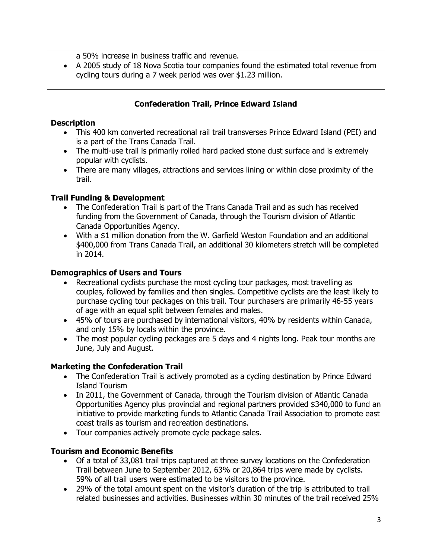a 50% increase in business traffic and revenue.

 A 2005 study of 18 Nova Scotia tour companies found the estimated total revenue from cycling tours during a 7 week period was over \$1.23 million.

## **Confederation Trail, Prince Edward Island**

#### **Description**

- This 400 km converted recreational rail trail transverses Prince Edward Island (PEI) and is a part of the Trans Canada Trail.
- The multi-use trail is primarily rolled hard packed stone dust surface and is extremely popular with cyclists.
- There are many villages, attractions and services lining or within close proximity of the trail.

#### **Trail Funding & Development**

- The Confederation Trail is part of the Trans Canada Trail and as such has received funding from the Government of Canada, through the Tourism division of Atlantic Canada Opportunities Agency.
- With a \$1 million donation from the W. Garfield Weston Foundation and an additional \$400,000 from Trans Canada Trail, an additional 30 kilometers stretch will be completed in 2014.

#### **Demographics of Users and Tours**

- Recreational cyclists purchase the most cycling tour packages, most travelling as couples, followed by families and then singles. Competitive cyclists are the least likely to purchase cycling tour packages on this trail. Tour purchasers are primarily 46-55 years of age with an equal split between females and males.
- 45% of tours are purchased by international visitors, 40% by residents within Canada, and only 15% by locals within the province.
- The most popular cycling packages are 5 days and 4 nights long. Peak tour months are June, July and August.

## **Marketing the Confederation Trail**

- The Confederation Trail is actively promoted as a cycling destination by Prince Edward Island Tourism
- In 2011, the Government of Canada, through the Tourism division of Atlantic Canada Opportunities Agency plus provincial and regional partners provided \$340,000 to fund an initiative to provide marketing funds to Atlantic Canada Trail Association to promote east coast trails as tourism and recreation destinations.
- Tour companies actively promote cycle package sales.

## **Tourism and Economic Benefits**

- Of a total of 33,081 trail trips captured at three survey locations on the Confederation Trail between June to September 2012, 63% or 20,864 trips were made by cyclists. 59% of all trail users were estimated to be visitors to the province.
- 29% of the total amount spent on the visitor's duration of the trip is attributed to trail related businesses and activities. Businesses within 30 minutes of the trail received 25%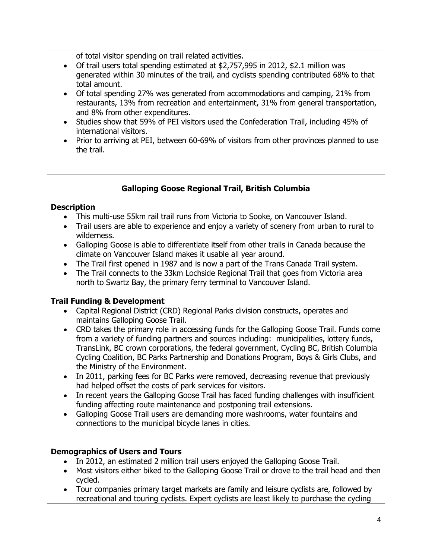of total visitor spending on trail related activities.

- Of trail users total spending estimated at \$2,757,995 in 2012, \$2.1 million was generated within 30 minutes of the trail, and cyclists spending contributed 68% to that total amount.
- Of total spending 27% was generated from accommodations and camping, 21% from restaurants, 13% from recreation and entertainment, 31% from general transportation, and 8% from other expenditures.
- Studies show that 59% of PEI visitors used the Confederation Trail, including 45% of international visitors.
- Prior to arriving at PEI, between 60-69% of visitors from other provinces planned to use the trail.

## **Galloping Goose Regional Trail, British Columbia**

#### **Description**

- This multi-use 55km rail trail runs from Victoria to Sooke, on Vancouver Island.
- Trail users are able to experience and enjoy a variety of scenery from urban to rural to wilderness.
- Galloping Goose is able to differentiate itself from other trails in Canada because the climate on Vancouver Island makes it usable all year around.
- The Trail first opened in 1987 and is now a part of the Trans Canada Trail system.
- The Trail connects to the 33km Lochside Regional Trail that goes from Victoria area north to Swartz Bay, the primary ferry terminal to Vancouver Island.

#### **Trail Funding & Development**

- Capital Regional District (CRD) Regional Parks division constructs, operates and maintains Galloping Goose Trail.
- CRD takes the primary role in accessing funds for the Galloping Goose Trail. Funds come from a variety of funding partners and sources including: municipalities, lottery funds, TransLink, BC crown corporations, the federal government, Cycling BC, British Columbia Cycling Coalition, BC Parks Partnership and Donations Program, Boys & Girls Clubs, and the Ministry of the Environment.
- In 2011, parking fees for BC Parks were removed, decreasing revenue that previously had helped offset the costs of park services for visitors.
- In recent years the Galloping Goose Trail has faced funding challenges with insufficient funding affecting route maintenance and postponing trail extensions.
- Galloping Goose Trail users are demanding more washrooms, water fountains and connections to the municipal bicycle lanes in cities.

#### **Demographics of Users and Tours**

- In 2012, an estimated 2 million trail users enjoyed the Galloping Goose Trail.
- Most visitors either biked to the Galloping Goose Trail or drove to the trail head and then cycled.
- Tour companies primary target markets are family and leisure cyclists are, followed by recreational and touring cyclists. Expert cyclists are least likely to purchase the cycling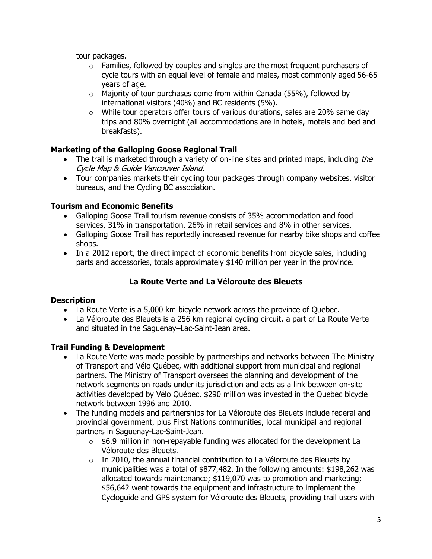tour packages.

- $\circ$  Families, followed by couples and singles are the most frequent purchasers of cycle tours with an equal level of female and males, most commonly aged 56-65 years of age.
- $\circ$  Majority of tour purchases come from within Canada (55%), followed by international visitors (40%) and BC residents (5%).
- o While tour operators offer tours of various durations, sales are 20% same day trips and 80% overnight (all accommodations are in hotels, motels and bed and breakfasts).

# **Marketing of the Galloping Goose Regional Trail**

- The trail is marketed through a variety of on-line sites and printed maps, including the Cycle Map & Guide Vancouver Island.
- Tour companies markets their cycling tour packages through company websites, visitor bureaus, and the Cycling BC association.

# **Tourism and Economic Benefits**

- Galloping Goose Trail tourism revenue consists of 35% accommodation and food services, 31% in transportation, 26% in retail services and 8% in other services.
- Galloping Goose Trail has reportedly increased revenue for nearby bike shops and coffee shops.
- In a 2012 report, the direct impact of economic benefits from bicycle sales, including parts and accessories, totals approximately \$140 million per year in the province.

# **La Route Verte and La Véloroute des Bleuets**

## **Description**

- La Route Verte is a 5,000 km bicycle network across the province of Quebec.
- La Véloroute des Bleuets is a 256 km regional cycling circuit, a part of La Route Verte and situated in the Saguenay–Lac-Saint-Jean area.

## **Trail Funding & Development**

- La Route Verte was made possible by partnerships and networks between The Ministry of Transport and Vélo Québec, with additional support from municipal and regional partners. The Ministry of Transport oversees the planning and development of the network segments on roads under its jurisdiction and acts as a link between on-site activities developed by Vélo Québec. \$290 million was invested in the Quebec bicycle network between 1996 and 2010.
- The funding models and partnerships for La Véloroute des Bleuets include federal and provincial government, plus First Nations communities, local municipal and regional partners in Saguenay-Lac-Saint-Jean.
	- $\circ$  \$6.9 million in non-repayable funding was allocated for the development La Véloroute des Bleuets.
	- $\circ$  In 2010, the annual financial contribution to La Véloroute des Bleuets by municipalities was a total of \$877,482. In the following amounts: \$198,262 was allocated towards maintenance; \$119,070 was to promotion and marketing; \$56,642 went towards the equipment and infrastructure to implement the Cycloguide and GPS system for Véloroute des Bleuets, providing trail users with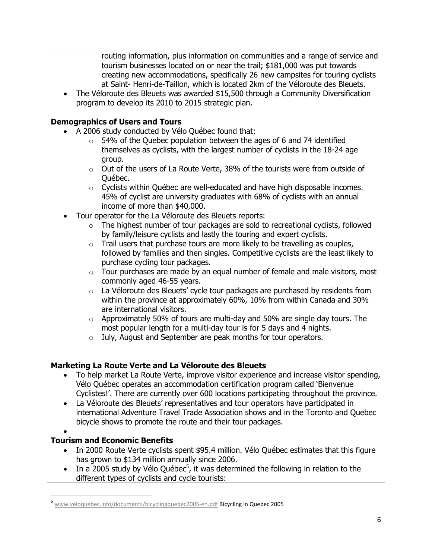routing information, plus information on communities and a range of service and tourism businesses located on or near the trail; \$181,000 was put towards creating new accommodations, specifically 26 new campsites for touring cyclists at Saint- Henri-de-Taillon, which is located 2km of the Véloroute des Bleuets.

 The Véloroute des Bleuets was awarded \$15,500 through a Community Diversification program to develop its 2010 to 2015 strategic plan.

## **Demographics of Users and Tours**

- A 2006 study conducted by Vélo Québec found that:
	- $\circ$  54% of the Quebec population between the ages of 6 and 74 identified themselves as cyclists, with the largest number of cyclists in the 18-24 age group.
	- o Out of the users of La Route Verte, 38% of the tourists were from outside of Québec.
	- $\circ$  Cyclists within Québec are well-educated and have high disposable incomes. 45% of cyclist are university graduates with 68% of cyclists with an annual income of more than \$40,000.
- Tour operator for the La Véloroute des Bleuets reports:
	- $\circ$  The highest number of tour packages are sold to recreational cyclists, followed by family/leisure cyclists and lastly the touring and expert cyclists.
	- $\circ$  Trail users that purchase tours are more likely to be travelling as couples, followed by families and then singles. Competitive cyclists are the least likely to purchase cycling tour packages.
	- $\circ$  Tour purchases are made by an equal number of female and male visitors, most commonly aged 46-55 years.
	- $\circ$  La Véloroute des Bleuets' cycle tour packages are purchased by residents from within the province at approximately 60%, 10% from within Canada and 30% are international visitors.
	- $\circ$  Approximately 50% of tours are multi-day and 50% are single day tours. The most popular length for a multi-day tour is for 5 days and 4 nights.
	- o July, August and September are peak months for tour operators.

## **Marketing La Route Verte and La Véloroute des Bleuets**

- To help market La Route Verte, improve visitor experience and increase visitor spending, Vélo Québec operates an accommodation certification program called 'Bienvenue Cyclistes!'. There are currently over 600 locations participating throughout the province.
- La Véloroute des Bleuets' representatives and tour operators have participated in international Adventure Travel Trade Association shows and in the Toronto and Quebec bicycle shows to promote the route and their tour packages.
- $\bullet$

 $\overline{\phantom{a}}$ 

# **Tourism and Economic Benefits**

- In 2000 Route Verte cyclists spent \$95.4 million. Vélo Québec estimates that this figure has grown to \$134 million annually since 2006.
- In a 2005 study by Vélo Québec<sup>5</sup>, it was determined the following in relation to the different types of cyclists and cycle tourists:

<sup>&</sup>lt;sup>5</sup> [www.veloquebec.info/documents/bicyclingquebec2005-en.pdf](http://www.veloquebec.info/documents/bicyclingquebec2005-en.pdf) **Bicycling in Quebec 2005**